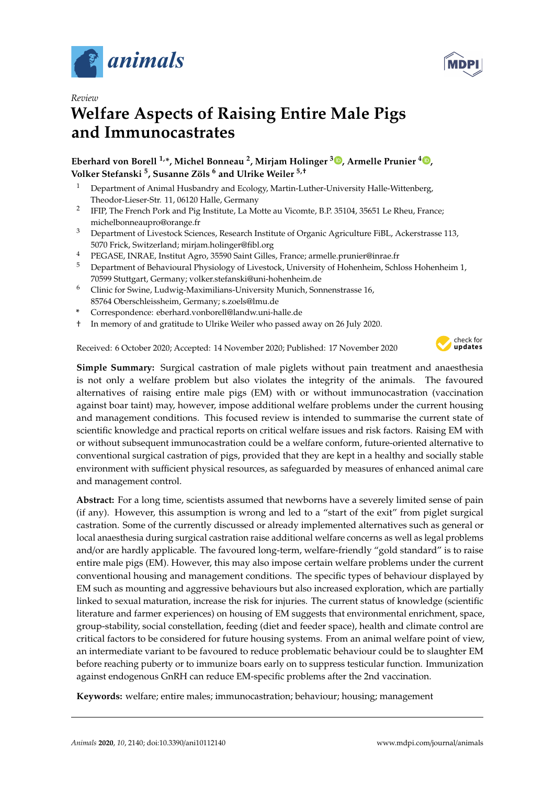

*Review*



# **Welfare Aspects of Raising Entire Male Pigs and Immunocastrates**

**Eberhard von Borell 1,\*, Michel Bonneau <sup>2</sup> , Mirjam Holinger <sup>3</sup> [,](https://orcid.org/0000-0002-9000-8828) Armelle Prunier <sup>4</sup> [,](https://orcid.org/0000-0003-3070-6613) Volker Stefanski <sup>5</sup> , Susanne Zöls <sup>6</sup> and Ulrike Weiler 5,**†

- <sup>1</sup> Department of Animal Husbandry and Ecology, Martin-Luther-University Halle-Wittenberg, Theodor-Lieser-Str. 11, 06120 Halle, Germany
- 2 IFIP, The French Pork and Pig Institute, La Motte au Vicomte, B.P. 35104, 35651 Le Rheu, France; michelbonneaupro@orange.fr
- <sup>3</sup> Department of Livestock Sciences, Research Institute of Organic Agriculture FiBL, Ackerstrasse 113, 5070 Frick, Switzerland; mirjam.holinger@fibl.org
- <sup>4</sup> PEGASE, INRAE, Institut Agro, 35590 Saint Gilles, France; armelle.prunier@inrae.fr
- <sup>5</sup> Department of Behavioural Physiology of Livestock, University of Hohenheim, Schloss Hohenheim 1, 70599 Stuttgart, Germany; volker.stefanski@uni-hohenheim.de
- <sup>6</sup> Clinic for Swine, Ludwig-Maximilians-University Munich, Sonnenstrasse 16, 85764 Oberschleissheim, Germany; s.zoels@lmu.de
- **\*** Correspondence: eberhard.vonborell@landw.uni-halle.de
- † In memory of and gratitude to Ulrike Weiler who passed away on 26 July 2020.

Received: 6 October 2020; Accepted: 14 November 2020; Published: 17 November 2020



**Simple Summary:** Surgical castration of male piglets without pain treatment and anaesthesia is not only a welfare problem but also violates the integrity of the animals. The favoured alternatives of raising entire male pigs (EM) with or without immunocastration (vaccination against boar taint) may, however, impose additional welfare problems under the current housing and management conditions. This focused review is intended to summarise the current state of scientific knowledge and practical reports on critical welfare issues and risk factors. Raising EM with or without subsequent immunocastration could be a welfare conform, future-oriented alternative to conventional surgical castration of pigs, provided that they are kept in a healthy and socially stable environment with sufficient physical resources, as safeguarded by measures of enhanced animal care and management control.

**Abstract:** For a long time, scientists assumed that newborns have a severely limited sense of pain (if any). However, this assumption is wrong and led to a "start of the exit" from piglet surgical castration. Some of the currently discussed or already implemented alternatives such as general or local anaesthesia during surgical castration raise additional welfare concerns as well as legal problems and/or are hardly applicable. The favoured long-term, welfare-friendly "gold standard" is to raise entire male pigs (EM). However, this may also impose certain welfare problems under the current conventional housing and management conditions. The specific types of behaviour displayed by EM such as mounting and aggressive behaviours but also increased exploration, which are partially linked to sexual maturation, increase the risk for injuries. The current status of knowledge (scientific literature and farmer experiences) on housing of EM suggests that environmental enrichment, space, group-stability, social constellation, feeding (diet and feeder space), health and climate control are critical factors to be considered for future housing systems. From an animal welfare point of view, an intermediate variant to be favoured to reduce problematic behaviour could be to slaughter EM before reaching puberty or to immunize boars early on to suppress testicular function. Immunization against endogenous GnRH can reduce EM-specific problems after the 2nd vaccination.

**Keywords:** welfare; entire males; immunocastration; behaviour; housing; management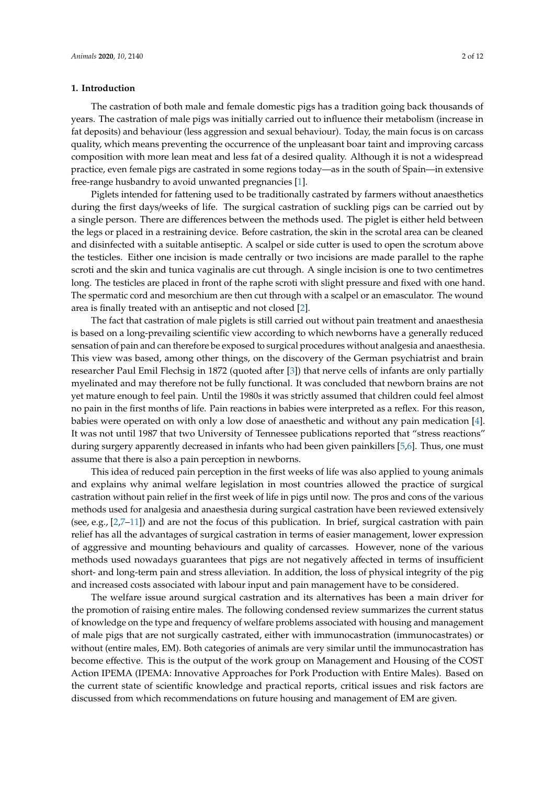## **1. Introduction**

The castration of both male and female domestic pigs has a tradition going back thousands of years. The castration of male pigs was initially carried out to influence their metabolism (increase in fat deposits) and behaviour (less aggression and sexual behaviour). Today, the main focus is on carcass quality, which means preventing the occurrence of the unpleasant boar taint and improving carcass composition with more lean meat and less fat of a desired quality. Although it is not a widespread practice, even female pigs are castrated in some regions today—as in the south of Spain—in extensive free-range husbandry to avoid unwanted pregnancies [\[1\]](#page-8-0).

Piglets intended for fattening used to be traditionally castrated by farmers without anaesthetics during the first days/weeks of life. The surgical castration of suckling pigs can be carried out by a single person. There are differences between the methods used. The piglet is either held between the legs or placed in a restraining device. Before castration, the skin in the scrotal area can be cleaned and disinfected with a suitable antiseptic. A scalpel or side cutter is used to open the scrotum above the testicles. Either one incision is made centrally or two incisions are made parallel to the raphe scroti and the skin and tunica vaginalis are cut through. A single incision is one to two centimetres long. The testicles are placed in front of the raphe scroti with slight pressure and fixed with one hand. The spermatic cord and mesorchium are then cut through with a scalpel or an emasculator. The wound area is finally treated with an antiseptic and not closed [\[2\]](#page-8-1).

The fact that castration of male piglets is still carried out without pain treatment and anaesthesia is based on a long-prevailing scientific view according to which newborns have a generally reduced sensation of pain and can therefore be exposed to surgical procedures without analgesia and anaesthesia. This view was based, among other things, on the discovery of the German psychiatrist and brain researcher Paul Emil Flechsig in 1872 (quoted after [\[3\]](#page-8-2)) that nerve cells of infants are only partially myelinated and may therefore not be fully functional. It was concluded that newborn brains are not yet mature enough to feel pain. Until the 1980s it was strictly assumed that children could feel almost no pain in the first months of life. Pain reactions in babies were interpreted as a reflex. For this reason, babies were operated on with only a low dose of anaesthetic and without any pain medication [\[4\]](#page-8-3). It was not until 1987 that two University of Tennessee publications reported that "stress reactions" during surgery apparently decreased in infants who had been given painkillers [\[5](#page-8-4)[,6\]](#page-8-5). Thus, one must assume that there is also a pain perception in newborns.

This idea of reduced pain perception in the first weeks of life was also applied to young animals and explains why animal welfare legislation in most countries allowed the practice of surgical castration without pain relief in the first week of life in pigs until now. The pros and cons of the various methods used for analgesia and anaesthesia during surgical castration have been reviewed extensively (see, e.g., [\[2](#page-8-1)[,7](#page-8-6)[–11\]](#page-8-7)) and are not the focus of this publication. In brief, surgical castration with pain relief has all the advantages of surgical castration in terms of easier management, lower expression of aggressive and mounting behaviours and quality of carcasses. However, none of the various methods used nowadays guarantees that pigs are not negatively affected in terms of insufficient short- and long-term pain and stress alleviation. In addition, the loss of physical integrity of the pig and increased costs associated with labour input and pain management have to be considered.

The welfare issue around surgical castration and its alternatives has been a main driver for the promotion of raising entire males. The following condensed review summarizes the current status of knowledge on the type and frequency of welfare problems associated with housing and management of male pigs that are not surgically castrated, either with immunocastration (immunocastrates) or without (entire males, EM). Both categories of animals are very similar until the immunocastration has become effective. This is the output of the work group on Management and Housing of the COST Action IPEMA (IPEMA: Innovative Approaches for Pork Production with Entire Males). Based on the current state of scientific knowledge and practical reports, critical issues and risk factors are discussed from which recommendations on future housing and management of EM are given.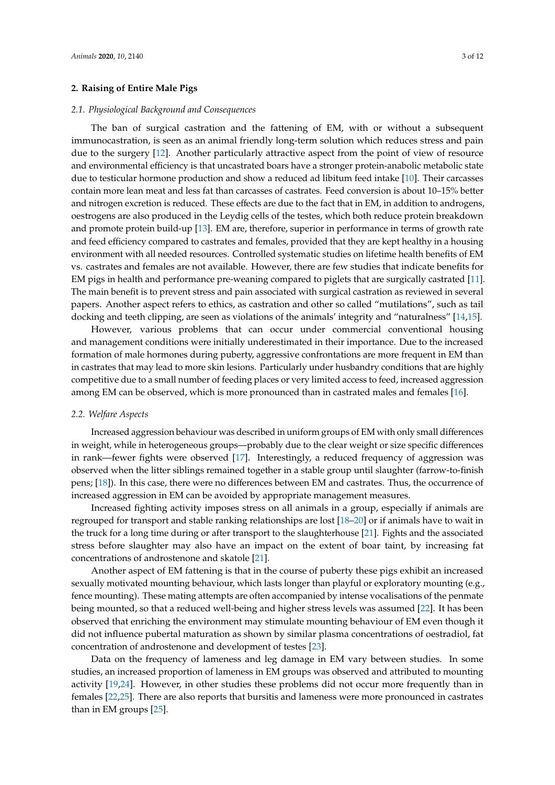## **2. Raising of Entire Male Pigs**

#### *2.1. Physiological Background and Consequences*

The ban of surgical castration and the fattening of EM, with or without a subsequent immunocastration, is seen as an animal friendly long-term solution which reduces stress and pain due to the surgery [\[12\]](#page-8-8). Another particularly attractive aspect from the point of view of resource and environmental efficiency is that uncastrated boars have a stronger protein-anabolic metabolic state due to testicular hormone production and show a reduced ad libitum feed intake [\[10\]](#page-8-9). Their carcasses contain more lean meat and less fat than carcasses of castrates. Feed conversion is about 10–15% better and nitrogen excretion is reduced. These effects are due to the fact that in EM, in addition to androgens, oestrogens are also produced in the Leydig cells of the testes, which both reduce protein breakdown and promote protein build-up [\[13\]](#page-8-10). EM are, therefore, superior in performance in terms of growth rate and feed efficiency compared to castrates and females, provided that they are kept healthy in a housing environment with all needed resources. Controlled systematic studies on lifetime health benefits of EM vs. castrates and females are not available. However, there are few studies that indicate benefits for EM pigs in health and performance pre-weaning compared to piglets that are surgically castrated [\[11\]](#page-8-7). The main benefit is to prevent stress and pain associated with surgical castration as reviewed in several papers. Another aspect refers to ethics, as castration and other so called "mutilations", such as tail docking and teeth clipping, are seen as violations of the animals' integrity and "naturalness" [\[14](#page-8-11)[,15\]](#page-8-12).

However, various problems that can occur under commercial conventional housing and management conditions were initially underestimated in their importance. Due to the increased formation of male hormones during puberty, aggressive confrontations are more frequent in EM than in castrates that may lead to more skin lesions. Particularly under husbandry conditions that are highly competitive due to a small number of feeding places or very limited access to feed, increased aggression among EM can be observed, which is more pronounced than in castrated males and females [\[16\]](#page-8-13).

#### *2.2. Welfare Aspects*

Increased aggression behaviour was described in uniform groups of EM with only small differences in weight, while in heterogeneous groups—probably due to the clear weight or size specific differences in rank—fewer fights were observed [\[17\]](#page-8-14). Interestingly, a reduced frequency of aggression was observed when the litter siblings remained together in a stable group until slaughter (farrow-to-finish pens; [\[18\]](#page-8-15)). In this case, there were no differences between EM and castrates. Thus, the occurrence of increased aggression in EM can be avoided by appropriate management measures.

Increased fighting activity imposes stress on all animals in a group, especially if animals are regrouped for transport and stable ranking relationships are lost [\[18–](#page-8-15)[20\]](#page-9-0) or if animals have to wait in the truck for a long time during or after transport to the slaughterhouse [\[21\]](#page-9-1). Fights and the associated stress before slaughter may also have an impact on the extent of boar taint, by increasing fat concentrations of androstenone and skatole [\[21\]](#page-9-1).

Another aspect of EM fattening is that in the course of puberty these pigs exhibit an increased sexually motivated mounting behaviour, which lasts longer than playful or exploratory mounting (e.g., fence mounting). These mating attempts are often accompanied by intense vocalisations of the penmate being mounted, so that a reduced well-being and higher stress levels was assumed [\[22\]](#page-9-2). It has been observed that enriching the environment may stimulate mounting behaviour of EM even though it did not influence pubertal maturation as shown by similar plasma concentrations of oestradiol, fat concentration of androstenone and development of testes [\[23\]](#page-9-3).

Data on the frequency of lameness and leg damage in EM vary between studies. In some studies, an increased proportion of lameness in EM groups was observed and attributed to mounting activity [\[19,](#page-8-16)[24\]](#page-9-4). However, in other studies these problems did not occur more frequently than in females [\[22,](#page-9-2)[25\]](#page-9-5). There are also reports that bursitis and lameness were more pronounced in castrates than in EM groups [\[25\]](#page-9-5).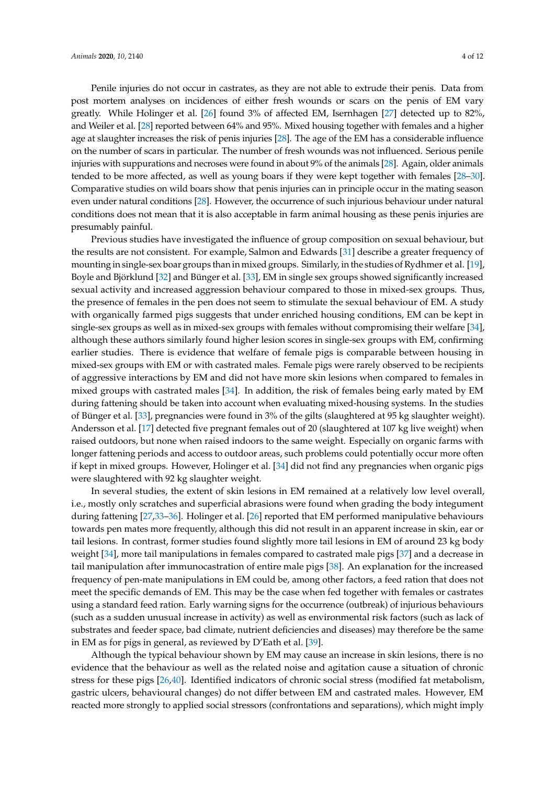Penile injuries do not occur in castrates, as they are not able to extrude their penis. Data from post mortem analyses on incidences of either fresh wounds or scars on the penis of EM vary greatly. While Holinger et al. [\[26\]](#page-9-6) found 3% of affected EM, Isernhagen [\[27\]](#page-9-7) detected up to 82%, and Weiler et al. [\[28\]](#page-9-8) reported between 64% and 95%. Mixed housing together with females and a higher age at slaughter increases the risk of penis injuries [\[28\]](#page-9-8). The age of the EM has a considerable influence on the number of scars in particular. The number of fresh wounds was not influenced. Serious penile injuries with suppurations and necroses were found in about 9% of the animals [\[28\]](#page-9-8). Again, older animals tended to be more affected, as well as young boars if they were kept together with females [\[28–](#page-9-8)[30\]](#page-9-9). Comparative studies on wild boars show that penis injuries can in principle occur in the mating season even under natural conditions [\[28\]](#page-9-8). However, the occurrence of such injurious behaviour under natural conditions does not mean that it is also acceptable in farm animal housing as these penis injuries are presumably painful.

Previous studies have investigated the influence of group composition on sexual behaviour, but the results are not consistent. For example, Salmon and Edwards [\[31\]](#page-9-10) describe a greater frequency of mounting in single-sex boar groups than in mixed groups. Similarly, in the studies of Rydhmer et al. [\[19\]](#page-8-16), Boyle and Björklund [\[32\]](#page-9-11) and Bünger et al. [\[33\]](#page-9-12), EM in single sex groups showed significantly increased sexual activity and increased aggression behaviour compared to those in mixed-sex groups. Thus, the presence of females in the pen does not seem to stimulate the sexual behaviour of EM. A study with organically farmed pigs suggests that under enriched housing conditions, EM can be kept in single-sex groups as well as in mixed-sex groups with females without compromising their welfare [\[34\]](#page-9-13), although these authors similarly found higher lesion scores in single-sex groups with EM, confirming earlier studies. There is evidence that welfare of female pigs is comparable between housing in mixed-sex groups with EM or with castrated males. Female pigs were rarely observed to be recipients of aggressive interactions by EM and did not have more skin lesions when compared to females in mixed groups with castrated males [\[34\]](#page-9-13). In addition, the risk of females being early mated by EM during fattening should be taken into account when evaluating mixed-housing systems. In the studies of Bünger et al. [\[33\]](#page-9-12), pregnancies were found in 3% of the gilts (slaughtered at 95 kg slaughter weight). Andersson et al. [\[17\]](#page-8-14) detected five pregnant females out of 20 (slaughtered at 107 kg live weight) when raised outdoors, but none when raised indoors to the same weight. Especially on organic farms with longer fattening periods and access to outdoor areas, such problems could potentially occur more often if kept in mixed groups. However, Holinger et al. [\[34\]](#page-9-13) did not find any pregnancies when organic pigs were slaughtered with 92 kg slaughter weight.

In several studies, the extent of skin lesions in EM remained at a relatively low level overall, i.e., mostly only scratches and superficial abrasions were found when grading the body integument during fattening [\[27,](#page-9-7)[33–](#page-9-12)[36\]](#page-9-14). Holinger et al. [\[26\]](#page-9-6) reported that EM performed manipulative behaviours towards pen mates more frequently, although this did not result in an apparent increase in skin, ear or tail lesions. In contrast, former studies found slightly more tail lesions in EM of around 23 kg body weight [\[34\]](#page-9-13), more tail manipulations in females compared to castrated male pigs [\[37\]](#page-9-15) and a decrease in tail manipulation after immunocastration of entire male pigs [\[38\]](#page-9-16). An explanation for the increased frequency of pen-mate manipulations in EM could be, among other factors, a feed ration that does not meet the specific demands of EM. This may be the case when fed together with females or castrates using a standard feed ration. Early warning signs for the occurrence (outbreak) of injurious behaviours (such as a sudden unusual increase in activity) as well as environmental risk factors (such as lack of substrates and feeder space, bad climate, nutrient deficiencies and diseases) may therefore be the same in EM as for pigs in general, as reviewed by D'Eath et al. [\[39\]](#page-9-17).

Although the typical behaviour shown by EM may cause an increase in skin lesions, there is no evidence that the behaviour as well as the related noise and agitation cause a situation of chronic stress for these pigs [\[26,](#page-9-6)[40\]](#page-10-0). Identified indicators of chronic social stress (modified fat metabolism, gastric ulcers, behavioural changes) do not differ between EM and castrated males. However, EM reacted more strongly to applied social stressors (confrontations and separations), which might imply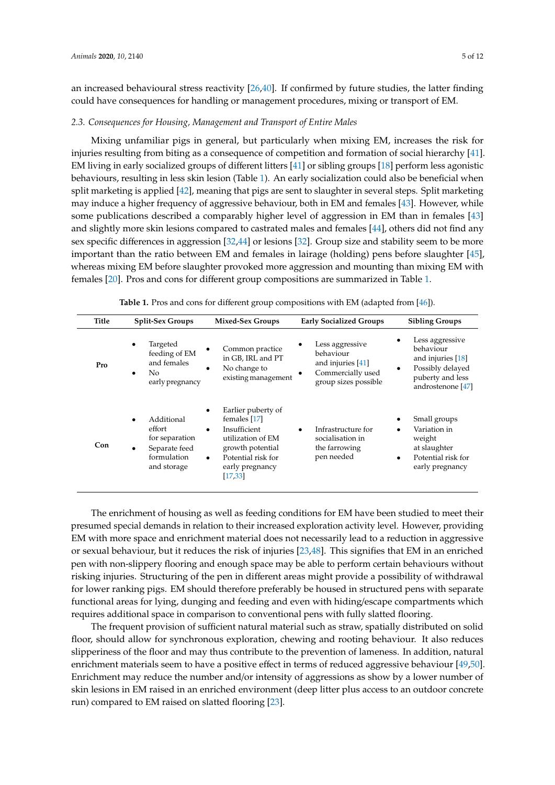an increased behavioural stress reactivity [\[26](#page-9-6)[,40\]](#page-10-0). If confirmed by future studies, the latter finding could have consequences for handling or management procedures, mixing or transport of EM.

# *2.3. Consequences for Housing, Management and Transport of Entire Males*

Mixing unfamiliar pigs in general, but particularly when mixing EM, increases the risk for injuries resulting from biting as a consequence of competition and formation of social hierarchy [\[41\]](#page-10-1). EM living in early socialized groups of different litters [\[41\]](#page-10-1) or sibling groups [\[18\]](#page-8-15) perform less agonistic behaviours, resulting in less skin lesion (Table [1\)](#page-4-0). An early socialization could also be beneficial when split marketing is applied [\[42\]](#page-10-2), meaning that pigs are sent to slaughter in several steps. Split marketing may induce a higher frequency of aggressive behaviour, both in EM and females [\[43\]](#page-10-3). However, while some publications described a comparably higher level of aggression in EM than in females [\[43\]](#page-10-3) and slightly more skin lesions compared to castrated males and females [\[44\]](#page-10-4), others did not find any sex specific differences in aggression [\[32,](#page-9-11)[44\]](#page-10-4) or lesions [\[32\]](#page-9-11). Group size and stability seem to be more important than the ratio between EM and females in lairage (holding) pens before slaughter [\[45\]](#page-10-5), whereas mixing EM before slaughter provoked more aggression and mounting than mixing EM with females [\[20\]](#page-9-0). Pros and cons for different group compositions are summarized in Table [1.](#page-4-0)

<span id="page-4-0"></span>

| Title | <b>Split-Sex Groups</b>                                                               | <b>Mixed-Sex Groups</b>                                                                                                                                                                 | <b>Early Socialized Groups</b>                                                                 | <b>Sibling Groups</b>                                                                                               |
|-------|---------------------------------------------------------------------------------------|-----------------------------------------------------------------------------------------------------------------------------------------------------------------------------------------|------------------------------------------------------------------------------------------------|---------------------------------------------------------------------------------------------------------------------|
| Pro   | Targeted<br>$\bullet$<br>feeding of EM<br>and females<br>No.<br>early pregnancy       | Common practice<br>in GB, IRL and PT<br>No change to<br>$\bullet$<br>existing management                                                                                                | Less aggressive<br>behaviour<br>and injuries [41]<br>Commercially used<br>group sizes possible | Less aggressive<br>behaviour<br>and injuries [18]<br>Possibly delayed<br>٠<br>puberty and less<br>androstenone [47] |
| Con   | Additional<br>effort<br>for separation<br>Separate feed<br>formulation<br>and storage | Earlier puberty of<br>$\bullet$<br>females [17]<br>Insufficient<br>$\bullet$<br>utilization of EM<br>growth potential<br>Potential risk for<br>$\bullet$<br>early pregnancy<br>[17, 33] | Infrastructure for<br>socialisation in<br>the farrowing<br>pen needed                          | Small groups<br>Variation in<br>weight<br>at slaughter<br>Potential risk for<br>early pregnancy                     |

**Table 1.** Pros and cons for different group compositions with EM (adapted from [\[46\]](#page-10-6)).

The enrichment of housing as well as feeding conditions for EM have been studied to meet their presumed special demands in relation to their increased exploration activity level. However, providing EM with more space and enrichment material does not necessarily lead to a reduction in aggressive or sexual behaviour, but it reduces the risk of injuries [\[23,](#page-9-3)[48\]](#page-10-8). This signifies that EM in an enriched pen with non-slippery flooring and enough space may be able to perform certain behaviours without risking injuries. Structuring of the pen in different areas might provide a possibility of withdrawal for lower ranking pigs. EM should therefore preferably be housed in structured pens with separate functional areas for lying, dunging and feeding and even with hiding/escape compartments which requires additional space in comparison to conventional pens with fully slatted flooring.

The frequent provision of sufficient natural material such as straw, spatially distributed on solid floor, should allow for synchronous exploration, chewing and rooting behaviour. It also reduces slipperiness of the floor and may thus contribute to the prevention of lameness. In addition, natural enrichment materials seem to have a positive effect in terms of reduced aggressive behaviour [\[49,](#page-10-9)[50\]](#page-10-10). Enrichment may reduce the number and/or intensity of aggressions as show by a lower number of skin lesions in EM raised in an enriched environment (deep litter plus access to an outdoor concrete run) compared to EM raised on slatted flooring [\[23\]](#page-9-3).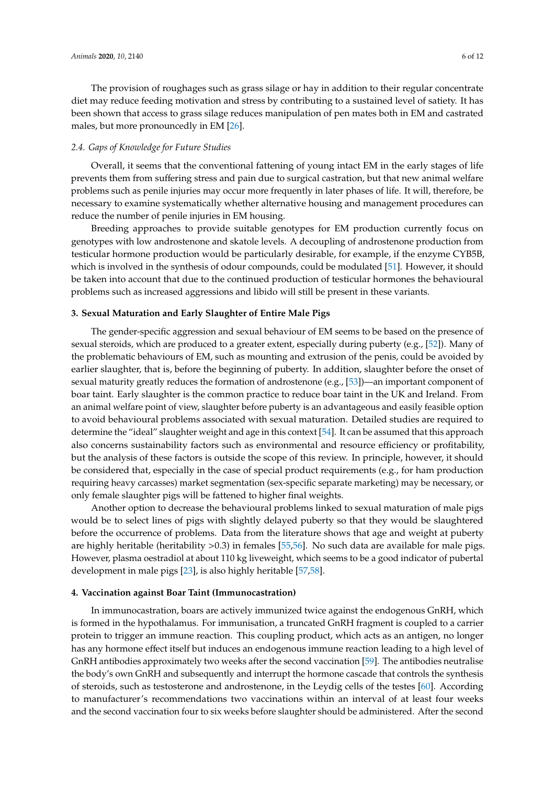The provision of roughages such as grass silage or hay in addition to their regular concentrate diet may reduce feeding motivation and stress by contributing to a sustained level of satiety. It has been shown that access to grass silage reduces manipulation of pen mates both in EM and castrated males, but more pronouncedly in EM [\[26\]](#page-9-6).

#### *2.4. Gaps of Knowledge for Future Studies*

Overall, it seems that the conventional fattening of young intact EM in the early stages of life prevents them from suffering stress and pain due to surgical castration, but that new animal welfare problems such as penile injuries may occur more frequently in later phases of life. It will, therefore, be necessary to examine systematically whether alternative housing and management procedures can reduce the number of penile injuries in EM housing.

Breeding approaches to provide suitable genotypes for EM production currently focus on genotypes with low androstenone and skatole levels. A decoupling of androstenone production from testicular hormone production would be particularly desirable, for example, if the enzyme CYB5B, which is involved in the synthesis of odour compounds, could be modulated [\[51\]](#page-10-11). However, it should be taken into account that due to the continued production of testicular hormones the behavioural problems such as increased aggressions and libido will still be present in these variants.

# **3. Sexual Maturation and Early Slaughter of Entire Male Pigs**

The gender-specific aggression and sexual behaviour of EM seems to be based on the presence of sexual steroids, which are produced to a greater extent, especially during puberty (e.g., [\[52\]](#page-10-12)). Many of the problematic behaviours of EM, such as mounting and extrusion of the penis, could be avoided by earlier slaughter, that is, before the beginning of puberty. In addition, slaughter before the onset of sexual maturity greatly reduces the formation of androstenone (e.g., [\[53\]](#page-10-13))—an important component of boar taint. Early slaughter is the common practice to reduce boar taint in the UK and Ireland. From an animal welfare point of view, slaughter before puberty is an advantageous and easily feasible option to avoid behavioural problems associated with sexual maturation. Detailed studies are required to determine the "ideal" slaughter weight and age in this context [\[54\]](#page-10-14). It can be assumed that this approach also concerns sustainability factors such as environmental and resource efficiency or profitability, but the analysis of these factors is outside the scope of this review. In principle, however, it should be considered that, especially in the case of special product requirements (e.g., for ham production requiring heavy carcasses) market segmentation (sex-specific separate marketing) may be necessary, or only female slaughter pigs will be fattened to higher final weights.

Another option to decrease the behavioural problems linked to sexual maturation of male pigs would be to select lines of pigs with slightly delayed puberty so that they would be slaughtered before the occurrence of problems. Data from the literature shows that age and weight at puberty are highly heritable (heritability >0.3) in females [\[55](#page-10-15)[,56\]](#page-10-16). No such data are available for male pigs. However, plasma oestradiol at about 110 kg liveweight, which seems to be a good indicator of pubertal development in male pigs [\[23\]](#page-9-3), is also highly heritable [\[57](#page-10-17)[,58\]](#page-10-18).

#### **4. Vaccination against Boar Taint (Immunocastration)**

In immunocastration, boars are actively immunized twice against the endogenous GnRH, which is formed in the hypothalamus. For immunisation, a truncated GnRH fragment is coupled to a carrier protein to trigger an immune reaction. This coupling product, which acts as an antigen, no longer has any hormone effect itself but induces an endogenous immune reaction leading to a high level of GnRH antibodies approximately two weeks after the second vaccination [\[59\]](#page-10-19). The antibodies neutralise the body's own GnRH and subsequently and interrupt the hormone cascade that controls the synthesis of steroids, such as testosterone and androstenone, in the Leydig cells of the testes [\[60\]](#page-10-20). According to manufacturer's recommendations two vaccinations within an interval of at least four weeks and the second vaccination four to six weeks before slaughter should be administered. After the second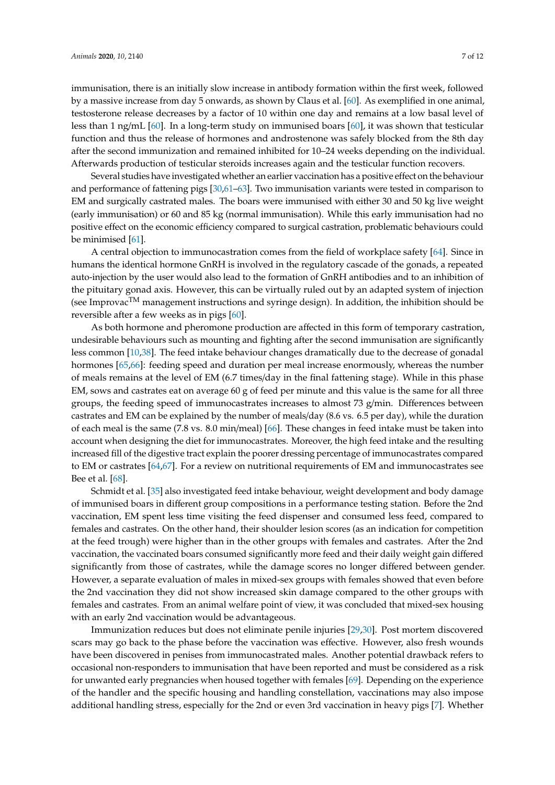immunisation, there is an initially slow increase in antibody formation within the first week, followed by a massive increase from day 5 onwards, as shown by Claus et al. [\[60\]](#page-10-20). As exemplified in one animal, testosterone release decreases by a factor of 10 within one day and remains at a low basal level of less than 1 ng/mL [\[60\]](#page-10-20). In a long-term study on immunised boars [\[60\]](#page-10-20), it was shown that testicular function and thus the release of hormones and androstenone was safely blocked from the 8th day after the second immunization and remained inhibited for 10–24 weeks depending on the individual.

Several studies have investigated whether an earlier vaccination has a positive effect on the behaviour and performance of fattening pigs [\[30](#page-9-9)[,61](#page-11-0)[–63\]](#page-11-1). Two immunisation variants were tested in comparison to EM and surgically castrated males. The boars were immunised with either 30 and 50 kg live weight (early immunisation) or 60 and 85 kg (normal immunisation). While this early immunisation had no positive effect on the economic efficiency compared to surgical castration, problematic behaviours could be minimised [\[61\]](#page-11-0).

Afterwards production of testicular steroids increases again and the testicular function recovers.

A central objection to immunocastration comes from the field of workplace safety [\[64\]](#page-11-2). Since in humans the identical hormone GnRH is involved in the regulatory cascade of the gonads, a repeated auto-injection by the user would also lead to the formation of GnRH antibodies and to an inhibition of the pituitary gonad axis. However, this can be virtually ruled out by an adapted system of injection (see Improvac<sup>TM</sup> management instructions and syringe design). In addition, the inhibition should be reversible after a few weeks as in pigs [\[60\]](#page-10-20).

As both hormone and pheromone production are affected in this form of temporary castration, undesirable behaviours such as mounting and fighting after the second immunisation are significantly less common [\[10](#page-8-9)[,38\]](#page-9-16). The feed intake behaviour changes dramatically due to the decrease of gonadal hormones [\[65,](#page-11-3)[66\]](#page-11-4): feeding speed and duration per meal increase enormously, whereas the number of meals remains at the level of EM (6.7 times/day in the final fattening stage). While in this phase EM, sows and castrates eat on average 60 g of feed per minute and this value is the same for all three groups, the feeding speed of immunocastrates increases to almost  $73$  g/min. Differences between castrates and EM can be explained by the number of meals/day (8.6 vs. 6.5 per day), while the duration of each meal is the same (7.8 vs. 8.0 min/meal) [\[66\]](#page-11-4). These changes in feed intake must be taken into account when designing the diet for immunocastrates. Moreover, the high feed intake and the resulting increased fill of the digestive tract explain the poorer dressing percentage of immunocastrates compared to EM or castrates [\[64,](#page-11-2)[67\]](#page-11-5). For a review on nutritional requirements of EM and immunocastrates see Bee et al. [\[68\]](#page-11-6).

Schmidt et al. [\[35\]](#page-9-18) also investigated feed intake behaviour, weight development and body damage of immunised boars in different group compositions in a performance testing station. Before the 2nd vaccination, EM spent less time visiting the feed dispenser and consumed less feed, compared to females and castrates. On the other hand, their shoulder lesion scores (as an indication for competition at the feed trough) were higher than in the other groups with females and castrates. After the 2nd vaccination, the vaccinated boars consumed significantly more feed and their daily weight gain differed significantly from those of castrates, while the damage scores no longer differed between gender. However, a separate evaluation of males in mixed-sex groups with females showed that even before the 2nd vaccination they did not show increased skin damage compared to the other groups with females and castrates. From an animal welfare point of view, it was concluded that mixed-sex housing with an early 2nd vaccination would be advantageous.

Immunization reduces but does not eliminate penile injuries [\[29](#page-9-19)[,30\]](#page-9-9). Post mortem discovered scars may go back to the phase before the vaccination was effective. However, also fresh wounds have been discovered in penises from immunocastrated males. Another potential drawback refers to occasional non-responders to immunisation that have been reported and must be considered as a risk for unwanted early pregnancies when housed together with females [\[69\]](#page-11-7). Depending on the experience of the handler and the specific housing and handling constellation, vaccinations may also impose additional handling stress, especially for the 2nd or even 3rd vaccination in heavy pigs [\[7\]](#page-8-6). Whether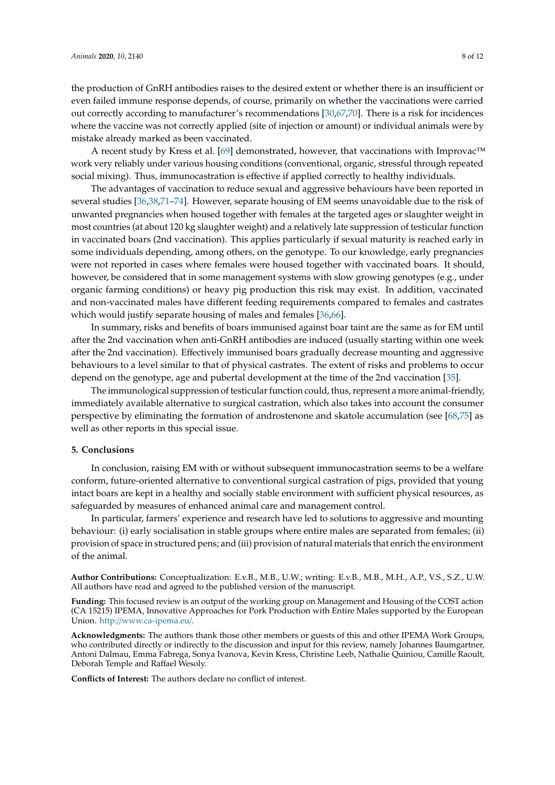the production of GnRH antibodies raises to the desired extent or whether there is an insufficient or even failed immune response depends, of course, primarily on whether the vaccinations were carried out correctly according to manufacturer's recommendations [\[30,](#page-9-9)[67,](#page-11-5)[70\]](#page-11-8). There is a risk for incidences where the vaccine was not correctly applied (site of injection or amount) or individual animals were by mistake already marked as been vaccinated.

A recent study by Kress et al. [\[69\]](#page-11-7) demonstrated, however, that vaccinations with Improvac™ work very reliably under various housing conditions (conventional, organic, stressful through repeated social mixing). Thus, immunocastration is effective if applied correctly to healthy individuals.

The advantages of vaccination to reduce sexual and aggressive behaviours have been reported in several studies [\[36,](#page-9-14)[38,](#page-9-16)[71](#page-11-9)[–74\]](#page-11-10). However, separate housing of EM seems unavoidable due to the risk of unwanted pregnancies when housed together with females at the targeted ages or slaughter weight in most countries (at about 120 kg slaughter weight) and a relatively late suppression of testicular function in vaccinated boars (2nd vaccination). This applies particularly if sexual maturity is reached early in some individuals depending, among others, on the genotype. To our knowledge, early pregnancies were not reported in cases where females were housed together with vaccinated boars. It should, however, be considered that in some management systems with slow growing genotypes (e.g., under organic farming conditions) or heavy pig production this risk may exist. In addition, vaccinated and non-vaccinated males have different feeding requirements compared to females and castrates which would justify separate housing of males and females [\[36,](#page-9-14)[66\]](#page-11-4).

In summary, risks and benefits of boars immunised against boar taint are the same as for EM until after the 2nd vaccination when anti-GnRH antibodies are induced (usually starting within one week after the 2nd vaccination). Effectively immunised boars gradually decrease mounting and aggressive behaviours to a level similar to that of physical castrates. The extent of risks and problems to occur depend on the genotype, age and pubertal development at the time of the 2nd vaccination [\[35\]](#page-9-18).

The immunological suppression of testicular function could, thus, represent a more animal-friendly, immediately available alternative to surgical castration, which also takes into account the consumer perspective by eliminating the formation of androstenone and skatole accumulation (see [\[68,](#page-11-6)[75\]](#page-11-11) as well as other reports in this special issue.

# **5. Conclusions**

In conclusion, raising EM with or without subsequent immunocastration seems to be a welfare conform, future-oriented alternative to conventional surgical castration of pigs, provided that young intact boars are kept in a healthy and socially stable environment with sufficient physical resources, as safeguarded by measures of enhanced animal care and management control.

In particular, farmers' experience and research have led to solutions to aggressive and mounting behaviour: (i) early socialisation in stable groups where entire males are separated from females; (ii) provision of space in structured pens; and (iii) provision of natural materials that enrich the environment of the animal.

**Author Contributions:** Conceptualization: E.v.B., M.B., U.W.; writing: E.v.B., M.B., M.H., A.P., V.S., S.Z., U.W. All authors have read and agreed to the published version of the manuscript.

**Funding:** This focused review is an output of the working group on Management and Housing of the COST action (CA 15215) IPEMA, Innovative Approaches for Pork Production with Entire Males supported by the European Union. http://[www.ca-ipema.eu](http://www.ca-ipema.eu/)/.

**Acknowledgments:** The authors thank those other members or guests of this and other IPEMA Work Groups, who contributed directly or indirectly to the discussion and input for this review, namely Johannes Baumgartner, Antoni Dalmau, Emma Fabrega, Sonya Ivanova, Kevin Kress, Christine Leeb, Nathalie Quiniou, Camille Raoult, Deborah Temple and Raffael Wesoly.

**Conflicts of Interest:** The authors declare no conflict of interest.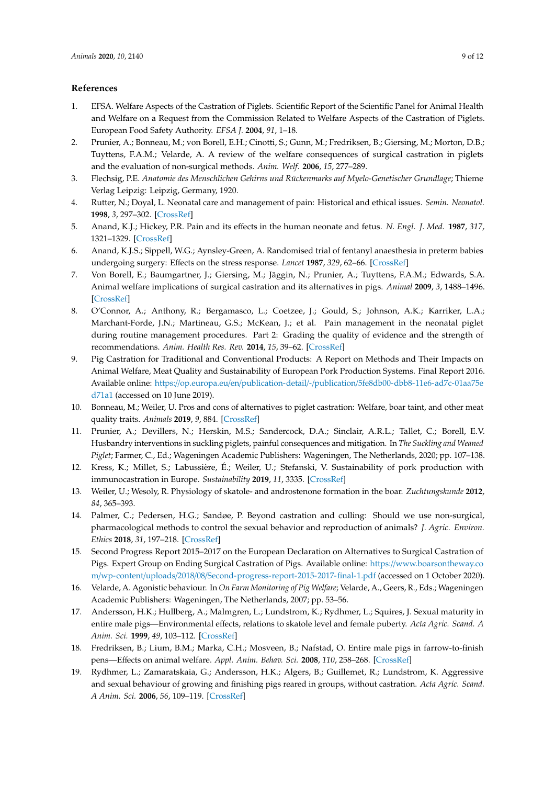# **References**

- <span id="page-8-0"></span>1. EFSA. Welfare Aspects of the Castration of Piglets. Scientific Report of the Scientific Panel for Animal Health and Welfare on a Request from the Commission Related to Welfare Aspects of the Castration of Piglets. European Food Safety Authority. *EFSA J.* **2004**, *91*, 1–18.
- <span id="page-8-1"></span>2. Prunier, A.; Bonneau, M.; von Borell, E.H.; Cinotti, S.; Gunn, M.; Fredriksen, B.; Giersing, M.; Morton, D.B.; Tuyttens, F.A.M.; Velarde, A. A review of the welfare consequences of surgical castration in piglets and the evaluation of non-surgical methods. *Anim. Welf.* **2006**, *15*, 277–289.
- <span id="page-8-2"></span>3. Flechsig, P.E. *Anatomie des Menschlichen Gehirns und Rückenmarks auf Myelo-Genetischer Grundlage*; Thieme Verlag Leipzig: Leipzig, Germany, 1920.
- <span id="page-8-3"></span>4. Rutter, N.; Doyal, L. Neonatal care and management of pain: Historical and ethical issues. *Semin. Neonatol.* **1998**, *3*, 297–302. [\[CrossRef\]](http://dx.doi.org/10.1016/S1084-2756(98)80084-5)
- <span id="page-8-4"></span>5. Anand, K.J.; Hickey, P.R. Pain and its effects in the human neonate and fetus. *N. Engl. J. Med.* **1987**, *317*, 1321–1329. [\[CrossRef\]](http://dx.doi.org/10.1056/NEJM198711193172105)
- <span id="page-8-5"></span>6. Anand, K.J.S.; Sippell, W.G.; Aynsley-Green, A. Randomised trial of fentanyl anaesthesia in preterm babies undergoing surgery: Effects on the stress response. *Lancet* **1987**, *329*, 62–66. [\[CrossRef\]](http://dx.doi.org/10.1016/S0140-6736(87)91907-6)
- <span id="page-8-6"></span>7. Von Borell, E.; Baumgartner, J.; Giersing, M.; Jäggin, N.; Prunier, A.; Tuyttens, F.A.M.; Edwards, S.A. Animal welfare implications of surgical castration and its alternatives in pigs. *Animal* **2009**, *3*, 1488–1496. [\[CrossRef\]](http://dx.doi.org/10.1017/S1751731109004728)
- 8. O'Connor, A.; Anthony, R.; Bergamasco, L.; Coetzee, J.; Gould, S.; Johnson, A.K.; Karriker, L.A.; Marchant-Forde, J.N.; Martineau, G.S.; McKean, J.; et al. Pain management in the neonatal piglet during routine management procedures. Part 2: Grading the quality of evidence and the strength of recommendations. *Anim. Health Res. Rev.* **2014**, *15*, 39–62. [\[CrossRef\]](http://dx.doi.org/10.1017/S1466252314000073)
- 9. Pig Castration for Traditional and Conventional Products: A Report on Methods and Their Impacts on Animal Welfare, Meat Quality and Sustainability of European Pork Production Systems. Final Report 2016. Available online: https://op.europa.eu/en/publication-detail/-/publication/[5fe8db00-dbb8-11e6-ad7c-01aa75e](https://op.europa.eu/en/publication-detail/-/publication/5fe8db00-dbb8-11e6-ad7c-01aa75ed71a1) [d71a1](https://op.europa.eu/en/publication-detail/-/publication/5fe8db00-dbb8-11e6-ad7c-01aa75ed71a1) (accessed on 10 June 2019).
- <span id="page-8-9"></span>10. Bonneau, M.; Weiler, U. Pros and cons of alternatives to piglet castration: Welfare, boar taint, and other meat quality traits. *Animals* **2019**, *9*, 884. [\[CrossRef\]](http://dx.doi.org/10.3390/ani9110884)
- <span id="page-8-7"></span>11. Prunier, A.; Devillers, N.; Herskin, M.S.; Sandercock, D.A.; Sinclair, A.R.L.; Tallet, C.; Borell, E.V. Husbandry interventions in suckling piglets, painful consequences and mitigation. In *The Suckling and Weaned Piglet*; Farmer, C., Ed.; Wageningen Academic Publishers: Wageningen, The Netherlands, 2020; pp. 107–138.
- <span id="page-8-8"></span>12. Kress, K.; Millet, S.; Labussière, É.; Weiler, U.; Stefanski, V. Sustainability of pork production with immunocastration in Europe. *Sustainability* **2019**, *11*, 3335. [\[CrossRef\]](http://dx.doi.org/10.3390/su11123335)
- <span id="page-8-10"></span>13. Weiler, U.; Wesoly, R. Physiology of skatole- and androstenone formation in the boar. *Zuchtungskunde* **2012**, *84*, 365–393.
- <span id="page-8-11"></span>14. Palmer, C.; Pedersen, H.G.; Sandøe, P. Beyond castration and culling: Should we use non-surgical, pharmacological methods to control the sexual behavior and reproduction of animals? *J. Agric. Environ. Ethics* **2018**, *31*, 197–218. [\[CrossRef\]](http://dx.doi.org/10.1007/s10806-018-9718-7)
- <span id="page-8-12"></span>15. Second Progress Report 2015–2017 on the European Declaration on Alternatives to Surgical Castration of Pigs. Expert Group on Ending Surgical Castration of Pigs. Available online: https://[www.boarsontheway.co](https://www.boarsontheway.com/wp-content/uploads/2018/08/Second-progress-report-2015-2017-final-1.pdf) m/wp-content/uploads/2018/08/[Second-progress-report-2015-2017-final-1.pdf](https://www.boarsontheway.com/wp-content/uploads/2018/08/Second-progress-report-2015-2017-final-1.pdf) (accessed on 1 October 2020).
- <span id="page-8-13"></span>16. Velarde, A. Agonistic behaviour. In *On Farm Monitoring of Pig Welfare*; Velarde, A., Geers, R., Eds.; Wageningen Academic Publishers: Wageningen, The Netherlands, 2007; pp. 53–56.
- <span id="page-8-14"></span>17. Andersson, H.K.; Hullberg, A.; Malmgren, L.; Lundstrom, K.; Rydhmer, L.; Squires, J. Sexual maturity in entire male pigs—Environmental effects, relations to skatole level and female puberty. *Acta Agric. Scand. A Anim. Sci.* **1999**, *49*, 103–112. [\[CrossRef\]](http://dx.doi.org/10.1080/090647099424169)
- <span id="page-8-15"></span>18. Fredriksen, B.; Lium, B.M.; Marka, C.H.; Mosveen, B.; Nafstad, O. Entire male pigs in farrow-to-finish pens—Effects on animal welfare. *Appl. Anim. Behav. Sci.* **2008**, *110*, 258–268. [\[CrossRef\]](http://dx.doi.org/10.1016/j.applanim.2007.04.007)
- <span id="page-8-16"></span>19. Rydhmer, L.; Zamaratskaia, G.; Andersson, H.K.; Algers, B.; Guillemet, R.; Lundstrom, K. Aggressive and sexual behaviour of growing and finishing pigs reared in groups, without castration. *Acta Agric. Scand. A Anim. Sci.* **2006**, *56*, 109–119. [\[CrossRef\]](http://dx.doi.org/10.1080/09064700601079527)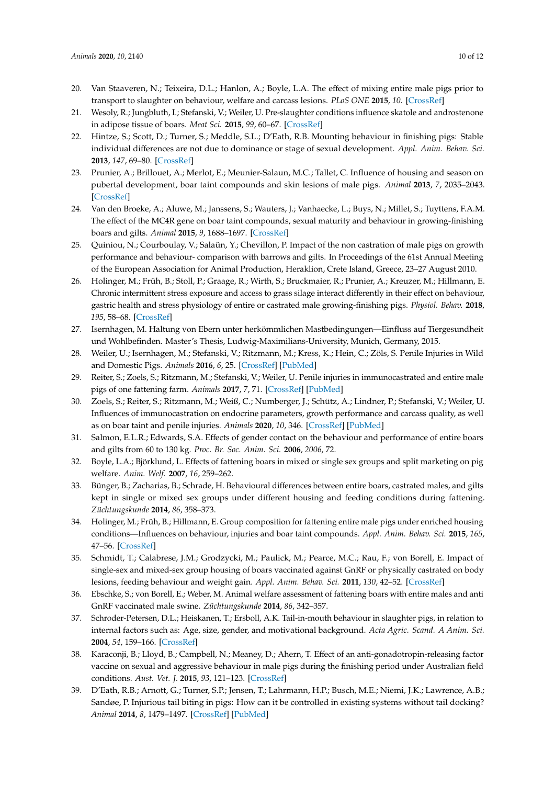- <span id="page-9-0"></span>20. Van Staaveren, N.; Teixeira, D.L.; Hanlon, A.; Boyle, L.A. The effect of mixing entire male pigs prior to transport to slaughter on behaviour, welfare and carcass lesions. *PLoS ONE* **2015**, *10*. [\[CrossRef\]](http://dx.doi.org/10.1371/journal.pone.0122841)
- <span id="page-9-1"></span>21. Wesoly, R.; Jungbluth, I.; Stefanski, V.; Weiler, U. Pre-slaughter conditions influence skatole and androstenone in adipose tissue of boars. *Meat Sci.* **2015**, *99*, 60–67. [\[CrossRef\]](http://dx.doi.org/10.1016/j.meatsci.2014.08.015)
- <span id="page-9-2"></span>22. Hintze, S.; Scott, D.; Turner, S.; Meddle, S.L.; D'Eath, R.B. Mounting behaviour in finishing pigs: Stable individual differences are not due to dominance or stage of sexual development. *Appl. Anim. Behav. Sci.* **2013**, *147*, 69–80. [\[CrossRef\]](http://dx.doi.org/10.1016/j.applanim.2013.04.023)
- <span id="page-9-3"></span>23. Prunier, A.; Brillouet, A.; Merlot, E.; Meunier-Salaun, M.C.; Tallet, C. Influence of housing and season on pubertal development, boar taint compounds and skin lesions of male pigs. *Animal* **2013**, *7*, 2035–2043. [\[CrossRef\]](http://dx.doi.org/10.1017/S1751731113001596)
- <span id="page-9-4"></span>24. Van den Broeke, A.; Aluwe, M.; Janssens, S.; Wauters, J.; Vanhaecke, L.; Buys, N.; Millet, S.; Tuyttens, F.A.M. The effect of the MC4R gene on boar taint compounds, sexual maturity and behaviour in growing-finishing boars and gilts. *Animal* **2015**, *9*, 1688–1697. [\[CrossRef\]](http://dx.doi.org/10.1017/S1751731115001135)
- <span id="page-9-5"></span>25. Quiniou, N.; Courboulay, V.; Salaün, Y.; Chevillon, P. Impact of the non castration of male pigs on growth performance and behaviour- comparison with barrows and gilts. In Proceedings of the 61st Annual Meeting of the European Association for Animal Production, Heraklion, Crete Island, Greece, 23–27 August 2010.
- <span id="page-9-6"></span>26. Holinger, M.; Früh, B.; Stoll, P.; Graage, R.; Wirth, S.; Bruckmaier, R.; Prunier, A.; Kreuzer, M.; Hillmann, E. Chronic intermittent stress exposure and access to grass silage interact differently in their effect on behaviour, gastric health and stress physiology of entire or castrated male growing-finishing pigs. *Physiol. Behav.* **2018**, *195*, 58–68. [\[CrossRef\]](http://dx.doi.org/10.1016/j.physbeh.2018.07.019)
- <span id="page-9-7"></span>27. Isernhagen, M. Haltung von Ebern unter herkömmlichen Mastbedingungen—Einfluss auf Tiergesundheit und Wohlbefinden. Master's Thesis, Ludwig-Maximilians-University, Munich, Germany, 2015.
- <span id="page-9-8"></span>28. Weiler, U.; Isernhagen, M.; Stefanski, V.; Ritzmann, M.; Kress, K.; Hein, C.; Zöls, S. Penile Injuries in Wild and Domestic Pigs. *Animals* **2016**, *6*, 25. [\[CrossRef\]](http://dx.doi.org/10.3390/ani6040025) [\[PubMed\]](http://www.ncbi.nlm.nih.gov/pubmed/27023619)
- <span id="page-9-19"></span>29. Reiter, S.; Zoels, S.; Ritzmann, M.; Stefanski, V.; Weiler, U. Penile injuries in immunocastrated and entire male pigs of one fattening farm. *Animals* **2017**, *7*, 71. [\[CrossRef\]](http://dx.doi.org/10.3390/ani7090071) [\[PubMed\]](http://www.ncbi.nlm.nih.gov/pubmed/28902132)
- <span id="page-9-9"></span>30. Zoels, S.; Reiter, S.; Ritzmann, M.; Weiß, C.; Numberger, J.; Schütz, A.; Lindner, P.; Stefanski, V.; Weiler, U. Influences of immunocastration on endocrine parameters, growth performance and carcass quality, as well as on boar taint and penile injuries. *Animals* **2020**, *10*, 346. [\[CrossRef\]](http://dx.doi.org/10.3390/ani10020346) [\[PubMed\]](http://www.ncbi.nlm.nih.gov/pubmed/32098237)
- <span id="page-9-10"></span>31. Salmon, E.L.R.; Edwards, S.A. Effects of gender contact on the behaviour and performance of entire boars and gilts from 60 to 130 kg. *Proc. Br. Soc. Anim. Sci.* **2006**, *2006*, 72.
- <span id="page-9-11"></span>32. Boyle, L.A.; Björklund, L. Effects of fattening boars in mixed or single sex groups and split marketing on pig welfare. *Anim. Welf.* **2007**, *16*, 259–262.
- <span id="page-9-12"></span>33. Bünger, B.; Zacharias, B.; Schrade, H. Behavioural differences between entire boars, castrated males, and gilts kept in single or mixed sex groups under different housing and feeding conditions during fattening. *Züchtungskunde* **2014**, *86*, 358–373.
- <span id="page-9-13"></span>34. Holinger, M.; Früh, B.; Hillmann, E. Group composition for fattening entire male pigs under enriched housing conditions—Influences on behaviour, injuries and boar taint compounds. *Appl. Anim. Behav. Sci.* **2015**, *165*, 47–56. [\[CrossRef\]](http://dx.doi.org/10.1016/j.applanim.2015.01.016)
- <span id="page-9-18"></span>35. Schmidt, T.; Calabrese, J.M.; Grodzycki, M.; Paulick, M.; Pearce, M.C.; Rau, F.; von Borell, E. Impact of single-sex and mixed-sex group housing of boars vaccinated against GnRF or physically castrated on body lesions, feeding behaviour and weight gain. *Appl. Anim. Behav. Sci.* **2011**, *130*, 42–52. [\[CrossRef\]](http://dx.doi.org/10.1016/j.applanim.2010.11.019)
- <span id="page-9-14"></span>36. Ebschke, S.; von Borell, E.; Weber, M. Animal welfare assessment of fattening boars with entire males and anti GnRF vaccinated male swine. *Züchtungskunde* **2014**, *86*, 342–357.
- <span id="page-9-15"></span>37. Schroder-Petersen, D.L.; Heiskanen, T.; Ersboll, A.K. Tail-in-mouth behaviour in slaughter pigs, in relation to internal factors such as: Age, size, gender, and motivational background. *Acta Agric. Scand. A Anim. Sci.* **2004**, *54*, 159–166. [\[CrossRef\]](http://dx.doi.org/10.1080/09064700410003835)
- <span id="page-9-16"></span>38. Karaconji, B.; Lloyd, B.; Campbell, N.; Meaney, D.; Ahern, T. Effect of an anti-gonadotropin-releasing factor vaccine on sexual and aggressive behaviour in male pigs during the finishing period under Australian field conditions. *Aust. Vet. J.* **2015**, *93*, 121–123. [\[CrossRef\]](http://dx.doi.org/10.1111/avj.12307)
- <span id="page-9-17"></span>39. D'Eath, R.B.; Arnott, G.; Turner, S.P.; Jensen, T.; Lahrmann, H.P.; Busch, M.E.; Niemi, J.K.; Lawrence, A.B.; Sandøe, P. Injurious tail biting in pigs: How can it be controlled in existing systems without tail docking? *Animal* **2014**, *8*, 1479–1497. [\[CrossRef\]](http://dx.doi.org/10.1017/S1751731114001359) [\[PubMed\]](http://www.ncbi.nlm.nih.gov/pubmed/25130712)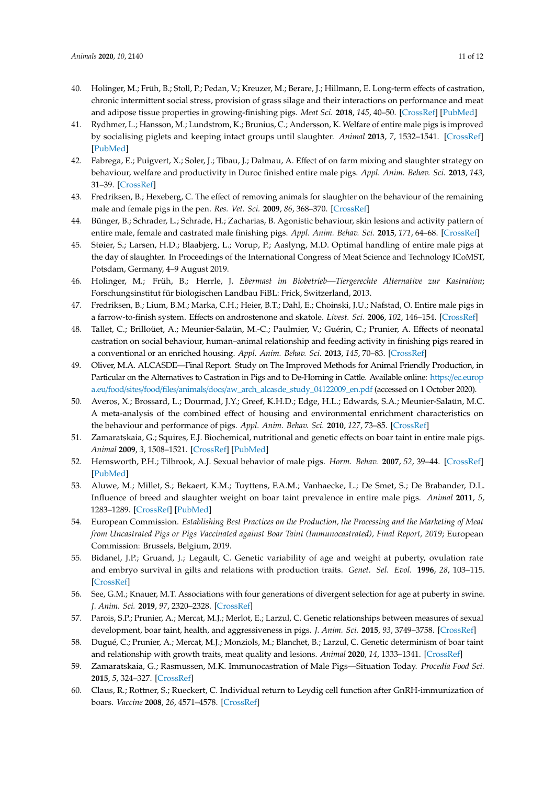- <span id="page-10-0"></span>40. Holinger, M.; Früh, B.; Stoll, P.; Pedan, V.; Kreuzer, M.; Berare, J.; Hillmann, E. Long-term effects of castration, chronic intermittent social stress, provision of grass silage and their interactions on performance and meat and adipose tissue properties in growing-finishing pigs. *Meat Sci.* **2018**, *145*, 40–50. [\[CrossRef\]](http://dx.doi.org/10.1016/j.meatsci.2018.05.018) [\[PubMed\]](http://www.ncbi.nlm.nih.gov/pubmed/29864654)
- <span id="page-10-1"></span>41. Rydhmer, L.; Hansson, M.; Lundstrom, K.; Brunius, C.; Andersson, K. Welfare of entire male pigs is improved by socialising piglets and keeping intact groups until slaughter. *Animal* **2013**, *7*, 1532–1541. [\[CrossRef\]](http://dx.doi.org/10.1017/S1751731113000608) [\[PubMed\]](http://www.ncbi.nlm.nih.gov/pubmed/23590926)
- <span id="page-10-2"></span>42. Fabrega, E.; Puigvert, X.; Soler, J.; Tibau, J.; Dalmau, A. Effect of on farm mixing and slaughter strategy on behaviour, welfare and productivity in Duroc finished entire male pigs. *Appl. Anim. Behav. Sci.* **2013**, *143*, 31–39. [\[CrossRef\]](http://dx.doi.org/10.1016/j.applanim.2012.11.006)
- <span id="page-10-3"></span>43. Fredriksen, B.; Hexeberg, C. The effect of removing animals for slaughter on the behaviour of the remaining male and female pigs in the pen. *Res. Vet. Sci.* **2009**, *86*, 368–370. [\[CrossRef\]](http://dx.doi.org/10.1016/j.rvsc.2008.06.005)
- <span id="page-10-4"></span>44. Bünger, B.; Schrader, L.; Schrade, H.; Zacharias, B. Agonistic behaviour, skin lesions and activity pattern of entire male, female and castrated male finishing pigs. *Appl. Anim. Behav. Sci.* **2015**, *171*, 64–68. [\[CrossRef\]](http://dx.doi.org/10.1016/j.applanim.2015.08.024)
- <span id="page-10-5"></span>45. Støier, S.; Larsen, H.D.; Blaabjerg, L.; Vorup, P.; Aaslyng, M.D. Optimal handling of entire male pigs at the day of slaughter. In Proceedings of the International Congress of Meat Science and Technology ICoMST, Potsdam, Germany, 4–9 August 2019.
- <span id="page-10-6"></span>46. Holinger, M.; Früh, B.; Herrle, J. *Ebermast im Biobetrieb—Tiergerechte Alternative zur Kastration*; Forschungsinstitut für biologischen Landbau FiBL: Frick, Switzerland, 2013.
- <span id="page-10-7"></span>47. Fredriksen, B.; Lium, B.M.; Marka, C.H.; Heier, B.T.; Dahl, E.; Choinski, J.U.; Nafstad, O. Entire male pigs in a farrow-to-finish system. Effects on androstenone and skatole. *Livest. Sci.* **2006**, *102*, 146–154. [\[CrossRef\]](http://dx.doi.org/10.1016/j.livsci.2006.01.001)
- <span id="page-10-8"></span>48. Tallet, C.; Brilloüet, A.; Meunier-Salaün, M.-C.; Paulmier, V.; Guérin, C.; Prunier, A. Effects of neonatal castration on social behaviour, human–animal relationship and feeding activity in finishing pigs reared in a conventional or an enriched housing. *Appl. Anim. Behav. Sci.* **2013**, *145*, 70–83. [\[CrossRef\]](http://dx.doi.org/10.1016/j.applanim.2013.03.001)
- <span id="page-10-9"></span>49. Oliver, M.A. ALCASDE—Final Report. Study on The Improved Methods for Animal Friendly Production, in Particular on the Alternatives to Castration in Pigs and to De-Horning in Cattle. Available online: https://[ec.europ](https://ec.europa.eu/food/sites/food/files/animals/docs/aw_arch_alcasde_study_04122009_en.pdf) a.eu/food/sites/food/files/animals/docs/[aw\\_arch\\_alcasde\\_study\\_04122009\\_en.pdf](https://ec.europa.eu/food/sites/food/files/animals/docs/aw_arch_alcasde_study_04122009_en.pdf) (accessed on 1 October 2020).
- <span id="page-10-10"></span>50. Averos, X.; Brossard, L.; Dourmad, J.Y.; Greef, K.H.D.; Edge, H.L.; Edwards, S.A.; Meunier-Salaün, M.C. A meta-analysis of the combined effect of housing and environmental enrichment characteristics on the behaviour and performance of pigs. *Appl. Anim. Behav. Sci.* **2010**, *127*, 73–85. [\[CrossRef\]](http://dx.doi.org/10.1016/j.applanim.2010.09.010)
- <span id="page-10-11"></span>51. Zamaratskaia, G.; Squires, E.J. Biochemical, nutritional and genetic effects on boar taint in entire male pigs. *Animal* **2009**, *3*, 1508–1521. [\[CrossRef\]](http://dx.doi.org/10.1017/S1751731108003674) [\[PubMed\]](http://www.ncbi.nlm.nih.gov/pubmed/22444984)
- <span id="page-10-12"></span>52. Hemsworth, P.H.; Tilbrook, A.J. Sexual behavior of male pigs. *Horm. Behav.* **2007**, *52*, 39–44. [\[CrossRef\]](http://dx.doi.org/10.1016/j.yhbeh.2007.03.013) [\[PubMed\]](http://www.ncbi.nlm.nih.gov/pubmed/17499251)
- <span id="page-10-13"></span>53. Aluwe, M.; Millet, S.; Bekaert, K.M.; Tuyttens, F.A.M.; Vanhaecke, L.; De Smet, S.; De Brabander, D.L. Influence of breed and slaughter weight on boar taint prevalence in entire male pigs. *Animal* **2011**, *5*, 1283–1289. [\[CrossRef\]](http://dx.doi.org/10.1017/S1751731111000164) [\[PubMed\]](http://www.ncbi.nlm.nih.gov/pubmed/22440181)
- <span id="page-10-14"></span>54. European Commission. *Establishing Best Practices on the Production, the Processing and the Marketing of Meat from Uncastrated Pigs or Pigs Vaccinated against Boar Taint (Immunocastrated), Final Report, 2019*; European Commission: Brussels, Belgium, 2019.
- <span id="page-10-15"></span>55. Bidanel, J.P.; Gruand, J.; Legault, C. Genetic variability of age and weight at puberty, ovulation rate and embryo survival in gilts and relations with production traits. *Genet. Sel. Evol.* **1996**, *28*, 103–115. [\[CrossRef\]](http://dx.doi.org/10.1186/1297-9686-28-1-103)
- <span id="page-10-16"></span>56. See, G.M.; Knauer, M.T. Associations with four generations of divergent selection for age at puberty in swine. *J. Anim. Sci.* **2019**, *97*, 2320–2328. [\[CrossRef\]](http://dx.doi.org/10.1093/jas/skz129)
- <span id="page-10-17"></span>57. Parois, S.P.; Prunier, A.; Mercat, M.J.; Merlot, E.; Larzul, C. Genetic relationships between measures of sexual development, boar taint, health, and aggressiveness in pigs. *J. Anim. Sci.* **2015**, *93*, 3749–3758. [\[CrossRef\]](http://dx.doi.org/10.2527/jas.2014-8290)
- <span id="page-10-18"></span>58. Dugué, C.; Prunier, A.; Mercat, M.J.; Monziols, M.; Blanchet, B.; Larzul, C. Genetic determinism of boar taint and relationship with growth traits, meat quality and lesions. *Animal* **2020**, *14*, 1333–1341. [\[CrossRef\]](http://dx.doi.org/10.1017/S1751731120000105)
- <span id="page-10-19"></span>59. Zamaratskaia, G.; Rasmussen, M.K. Immunocastration of Male Pigs—Situation Today. *Procedia Food Sci.* **2015**, *5*, 324–327. [\[CrossRef\]](http://dx.doi.org/10.1016/j.profoo.2015.09.064)
- <span id="page-10-20"></span>60. Claus, R.; Rottner, S.; Rueckert, C. Individual return to Leydig cell function after GnRH-immunization of boars. *Vaccine* **2008**, *26*, 4571–4578. [\[CrossRef\]](http://dx.doi.org/10.1016/j.vaccine.2008.05.085)